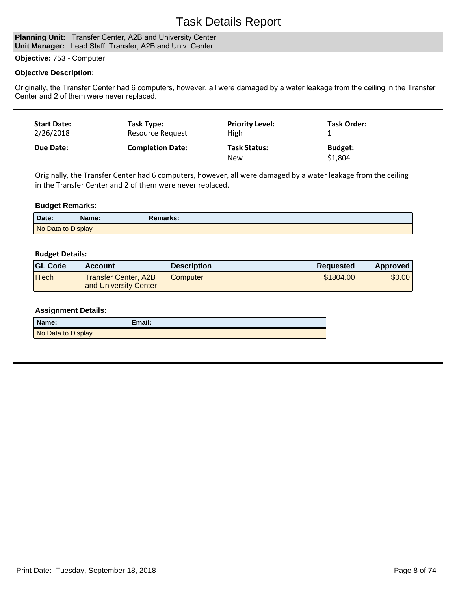## Task Details Report

#### **Planning Unit:** Transfer Center, A2B and University Center **Unit Manager:** Lead Staff, Transfer, A2B and Univ. Center

## **Objective:** 753 - Computer

### **Objective Description:**

Originally, the Transfer Center had 6 computers, however, all were damaged by a water leakage from the ceiling in the Transfer Center and 2 of them were never replaced.

| <b>Start Date:</b> | Task Type:              | <b>Priority Level:</b>            | Task Order:               |
|--------------------|-------------------------|-----------------------------------|---------------------------|
| 2/26/2018          | Resource Request        | High                              |                           |
| <b>Due Date:</b>   | <b>Completion Date:</b> | <b>Task Status:</b><br><b>New</b> | <b>Budget:</b><br>\$1,804 |

Originally, the Transfer Center had 6 computers, however, all were damaged by a water leakage from the ceiling in the Transfer Center and 2 of them were never replaced.

## **Budget Remarks:**

| Date:              | Name: | Remarks: |
|--------------------|-------|----------|
| No Data to Display |       |          |

### **Budget Details:**

| <b>GL Code</b> | <b>Account</b>                                | <b>Description</b> | <b>Requested</b> | <b>Approved</b> |
|----------------|-----------------------------------------------|--------------------|------------------|-----------------|
| $ $ ITech      | Transfer Center, A2B<br>and University Center | Computer           | \$1804.00        | \$0.00          |

### **Assignment Details:**

| Name:              | Email: |
|--------------------|--------|
| No Data to Display |        |